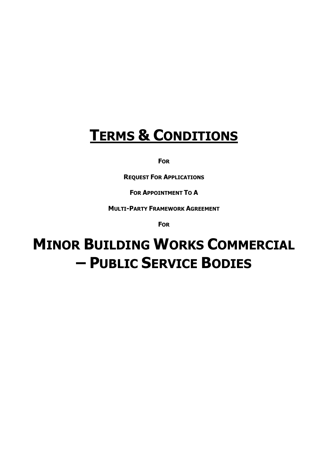# **TERMS & CONDITIONS**

**FOR** 

REQUEST FOR APPLICATIONS

FOR APPOINTMENT TO A

MULTI-PARTY FRAMEWORK AGREEMENT

**FOR** 

# **MINOR BUILDING WORKS COMMERCIAL** – PUBLIC SERVICE BODIES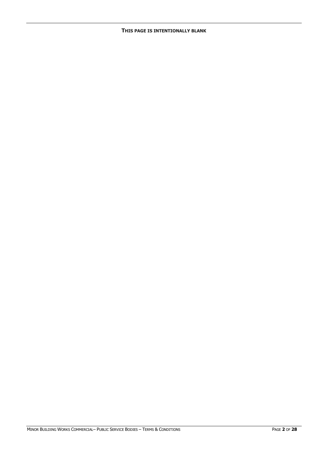# THIS PAGE IS INTENTIONALLY BLANK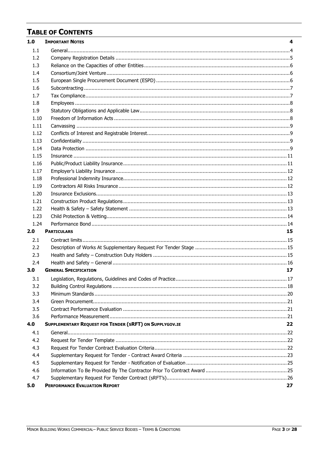# **TABLE OF CONTENTS**

| 1.0  | <b>IMPORTANT NOTES</b>                                  | 4  |
|------|---------------------------------------------------------|----|
| 1.1  |                                                         |    |
| 1.2  |                                                         |    |
| 1.3  |                                                         |    |
| 1.4  |                                                         |    |
| 1.5  |                                                         |    |
| 1.6  |                                                         |    |
| 1.7  |                                                         |    |
| 1.8  |                                                         |    |
| 1.9  |                                                         |    |
| 1.10 |                                                         |    |
| 1.11 |                                                         |    |
| 1.12 |                                                         |    |
| 1.13 |                                                         |    |
| 1.14 |                                                         |    |
| 1.15 |                                                         |    |
| 1.16 |                                                         |    |
| 1.17 |                                                         |    |
| 1.18 |                                                         |    |
| 1.19 |                                                         |    |
| 1.20 |                                                         |    |
| 1.21 |                                                         |    |
| 1.22 |                                                         |    |
| 1.23 |                                                         |    |
| 1.24 |                                                         |    |
| 2.0  | <b>PARTICULARS</b>                                      | 15 |
| 2.1  |                                                         |    |
| 2.2  |                                                         |    |
| 2.3  |                                                         |    |
| 2.4  |                                                         |    |
| 3.0  | <b>GENERAL SPECIFICATION</b>                            | 17 |
| 3.1  |                                                         |    |
| 3.2  |                                                         |    |
| 3.3  |                                                         |    |
| 3.4  |                                                         |    |
| 3.5  |                                                         |    |
| 3.6  |                                                         |    |
| 4.0  | SUPPLEMENTARY REQUEST FOR TENDER (SRFT) ON SUPPLYGOV.IE | 22 |
| 4.1  |                                                         |    |
| 4.2  |                                                         |    |
| 4.3  |                                                         |    |
| 4.4  |                                                         |    |
| 4.5  |                                                         |    |
| 4.6  |                                                         |    |
| 4.7  |                                                         |    |
| 5.0  | <b>PERFORMANCE EVALUATION REPORT</b>                    | 27 |
|      |                                                         |    |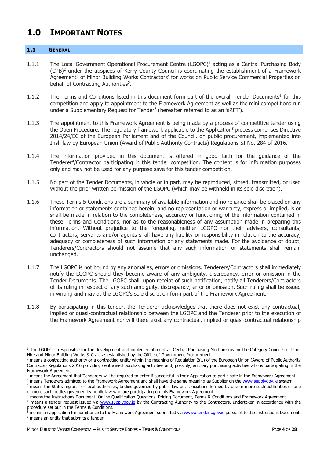# 1.0 IMPORTANT NOTES

# 1.1 GENERAL

- 1.1.1 The Local Government Operational Procurement Centre (LGOPC)<sup>1</sup> acting as a Central Purchasing Body  $(CPB)^2$  under the auspices of Kerry County Council is coordinating the establishment of a Framework Agreement<sup>3</sup> of Minor Building Works Contractors<sup>4</sup> for works on Public Service Commercial Properties on behalf of Contracting Authorities<sup>5</sup>.
- 1.1.2 The Terms and Conditions listed in this document form part of the overall Tender Documents<sup>6</sup> for this competition and apply to appointment to the Framework Agreement as well as the mini competitions run under a Supplementary Request for Tender<sup>7</sup> (hereafter referred to as an 'sRFT').
- 1.1.3 The appointment to this Framework Agreement is being made by a process of competitive tender using the Open Procedure. The regulatory framework applicable to the Application<sup>8</sup> process comprises Directive 2014/24/EC of the European Parliament and of the Council, on public procurement, implemented into Irish law by European Union (Award of Public Authority Contracts) Regulations SI No. 284 of 2016.
- 1.1.4 The information provided in this document is offered in good faith for the guidance of the Tenderer<sup>9</sup>/Contractor participating in this tender competition. The content is for information purposes only and may not be used for any purpose save for this tender competition.
- 1.1.5 No part of the Tender Documents, in whole or in part, may be reproduced, stored, transmitted, or used without the prior written permission of the LGOPC (which may be withheld in its sole discretion).
- 1.1.6 These Terms & Conditions are a summary of available information and no reliance shall be placed on any information or statements contained herein, and no representation or warranty, express or implied, is or shall be made in relation to the completeness, accuracy or functioning of the information contained in these Terms and Conditions, nor as to the reasonableness of any assumption made in preparing this information. Without prejudice to the foregoing, neither LGOPC nor their advisers, consultants, contractors, servants and/or agents shall have any liability or responsibility in relation to the accuracy, adequacy or completeness of such information or any statements made. For the avoidance of doubt, Tenderers/Contractors should not assume that any such information or statements shall remain unchanged.
- 1.1.7 The LGOPC is not bound by any anomalies, errors or omissions. Tenderers/Contractors shall immediately notify the LGOPC should they become aware of any ambiguity, discrepancy, error or omission in the Tender Documents. The LGOPC shall, upon receipt of such notification, notify all Tenderers/Contractors of its ruling in respect of any such ambiguity, discrepancy, error or omission. Such ruling shall be issued in writing and may at the LGOPC's sole discretion form part of the Framework Agreement.
- 1.1.8 By participating in this tender, the Tenderer acknowledges that there does not exist any contractual, implied or quasi-contractual relationship between the LGOPC and the Tenderer prior to the execution of the Framework Agreement nor will there exist any contractual, implied or quasi-contractual relationship

or more such bodies governed by public law who are participating on this Framework Agreement.

<sup>&</sup>lt;sup>1</sup> The LGOPC is responsible for the development and implementation of all Central Purchasing Mechanisms for the Category Councils of Plant Hire and Minor Building Works & Civils as established by the Office of Government Procurement.

 $^2$  means a contracting authority or a contracting entity within the meaning of Regulation 2(1) of the European Union (Award of Public Authority Contracts) Regulations 2016 providing centralised purchasing activities and, possibly, ancillary purchasing activities who is participating in the Framework Agreement.

<sup>&</sup>lt;sup>3</sup> means the Agreement that Tenderers will be required to enter if successful in their Application to participate in the Framework Agreement.

<sup>&</sup>lt;sup>4</sup> means Tenderers admitted to the Framework Agreement and shall have the same meaning as Supplier on the www.supplygov.ie system. <sup>5</sup> means the State, regional or local authorities, bodies governed by public law or associations formed by one or more such authorities or one

 $^6$  means the Instructions Document, Online Oualification Ouestions, Pricing Document, Terms & Conditions and Framework Agreement

<sup>&</sup>lt;sup>7</sup> means a tender request issued via www.supplygov.ie by the Contracting Authority to the Contractors, undertaken in accordance with the procedure set out in the Terms & Conditions.

<sup>&</sup>lt;sup>8</sup> means an application for admittance to the Framework Agreement submitted via www.etenders.gov.ie pursuant to the Instructions Document. <sup>9</sup> means an entity that submits a tender.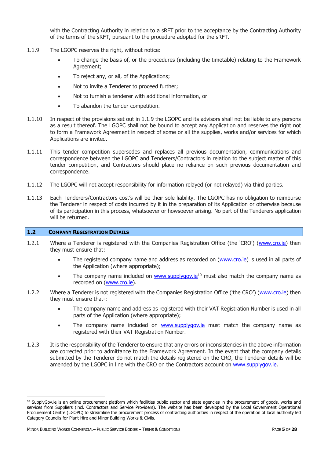with the Contracting Authority in relation to a sRFT prior to the acceptance by the Contracting Authority of the terms of the sRFT, pursuant to the procedure adopted for the sRFT.

- 1.1.9 The LGOPC reserves the right, without notice:
	- To change the basis of, or the procedures (including the timetable) relating to the Framework Agreement;
	- To reject any, or all, of the Applications:
	- Not to invite a Tenderer to proceed further:
	- Not to furnish a tenderer with additional information, or
	- To abandon the tender competition.
- 1.1.10 In respect of the provisions set out in 1.1.9 the LGOPC and its advisors shall not be liable to any persons as a result thereof. The LGOPC shall not be bound to accept any Application and reserves the right not to form a Framework Agreement in respect of some or all the supplies, works and/or services for which Applications are invited.
- 1.1.11 This tender competition supersedes and replaces all previous documentation, communications and correspondence between the LGOPC and Tenderers/Contractors in relation to the subject matter of this tender competition, and Contractors should place no reliance on such previous documentation and correspondence.
- 1.1.12 The LGOPC will not accept responsibility for information relayed (or not relayed) via third parties.
- 1.1.13 Each Tenderers/Contractors cost's will be their sole liability. The LGOPC has no obligation to reimburse the Tenderer in respect of costs incurred by it in the preparation of its Application or otherwise because of its participation in this process, whatsoever or howsoever arising. No part of the Tenderers application will be returned.

## 1.2 COMPANY REGISTRATION DETAILS

- 1.2.1 Where a Tenderer is registered with the Companies Registration Office (the 'CRO') (www.cro.ie) then they must ensure that:
	- The registered company name and address as recorded on (www.cro.ie) is used in all parts of the Application (where appropriate);
	- The company name included on www.supplygov.ie<sup>10</sup> must also match the company name as recorded on (www.cro.ie).
- 1.2.2 Where a Tenderer is not registered with the Companies Registration Office ('the CRO') (www.cro.ie) then they must ensure that-:
	- The company name and address as registered with their VAT Registration Number is used in all parts of the Application (where appropriate);
	- The company name included on www.supplygov.ie must match the company name as registered with their VAT Registration Number.
- 1.2.3 It is the responsibility of the Tenderer to ensure that any errors or inconsistencies in the above information are corrected prior to admittance to the Framework Agreement. In the event that the company details submitted by the Tenderer do not match the details registered on the CRO, the Tenderer details will be amended by the LGOPC in line with the CRO on the Contractors account on www.supplygov.ie.

<sup>&</sup>lt;sup>10</sup> SupplyGov.ie is an online procurement platform which facilities public sector and state agencies in the procurement of goods, works and services from Suppliers (incl. Contractors and Service Providers). The website has been developed by the Local Government Operational Procurement Centre (LGOPC) to streamline the procurement process of contracting authorities in respect of the operation of local authority led Category Councils for Plant Hire and Minor Building Works & Civils.

MINOR BUILDING WORKS COMMERCIAL– PUBLIC SERVICE BODIES – TERMS & CONDITIONS PAGE 1 ACCESS OF 28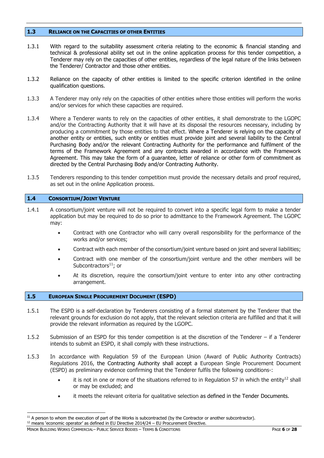#### 1.3 RELIANCE ON THE CAPACITIES OF OTHER ENTITIES

- 1.3.1 With regard to the suitability assessment criteria relating to the economic & financial standing and technical & professional ability set out in the online application process for this tender competition, a Tenderer may rely on the capacities of other entities, regardless of the legal nature of the links between the Tenderer/ Contractor and those other entities.
- 1.3.2 Reliance on the capacity of other entities is limited to the specific criterion identified in the online qualification questions.
- 1.3.3 A Tenderer may only rely on the capacities of other entities where those entities will perform the works and/or services for which these capacities are required.
- 1.3.4 Where a Tenderer wants to rely on the capacities of other entities, it shall demonstrate to the LGOPC and/or the Contracting Authority that it will have at its disposal the resources necessary, including by producing a commitment by those entities to that effect. Where a Tenderer is relying on the capacity of another entity or entities, such entity or entities must provide joint and several liability to the Central Purchasing Body and/or the relevant Contracting Authority for the performance and fulfilment of the terms of the Framework Agreement and any contracts awarded in accordance with the Framework Agreement. This may take the form of a guarantee, letter of reliance or other form of commitment as directed by the Central Purchasing Body and/or Contracting Authority.
- 1.3.5 Tenderers responding to this tender competition must provide the necessary details and proof required, as set out in the online Application process.

#### 1.4 CONSORTIUM/JOINT VENTURE

- 1.4.1 A consortium/joint venture will not be required to convert into a specific legal form to make a tender application but may be required to do so prior to admittance to the Framework Agreement. The LGOPC may:
	- Contract with one Contractor who will carry overall responsibility for the performance of the works and/or services;
	- Contract with each member of the consortium/joint venture based on joint and several liabilities;
	- Contract with one member of the consortium/joint venture and the other members will be Subcontractors $11$ ; or
	- At its discretion, require the consortium/joint venture to enter into any other contracting arrangement.

#### 1.5 EUROPEAN SINGLE PROCUREMENT DOCUMENT (ESPD)

- 1.5.1 The ESPD is a self-declaration by Tenderers consisting of a formal statement by the Tenderer that the relevant grounds for exclusion do not apply, that the relevant selection criteria are fulfilled and that it will provide the relevant information as required by the LGOPC.
- 1.5.2 Submission of an ESPD for this tender competition is at the discretion of the Tenderer if a Tenderer intends to submit an ESPD, it shall comply with these instructions.
- 1.5.3 In accordance with Regulation 59 of the European Union (Award of Public Authority Contracts) Regulations 2016, the Contracting Authority shall accept a European Single Procurement Document (ESPD) as preliminary evidence confirming that the Tenderer fulfils the following conditions-:
	- $\bullet$  it is not in one or more of the situations referred to in Regulation 57 in which the entity<sup>12</sup> shall or may be excluded; and
	- it meets the relevant criteria for qualitative selection as defined in the Tender Documents.

<sup>&</sup>lt;sup>11</sup> A person to whom the execution of part of the Works is subcontracted (by the Contractor or another subcontractor). <sup>12</sup> means 'economic operator' as defined in EU Directive 2014/24 – EU Procurement Directive.

MINOR BUILDING WORKS COMMERCIAL– PUBLIC SERVICE BODIES – TERMS & CONDITIONS **FAGE 6 OF 28**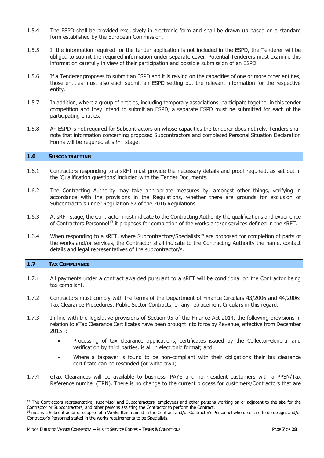- 1.5.4 The ESPD shall be provided exclusively in electronic form and shall be drawn up based on a standard form established by the European Commission.
- 1.5.5 If the information required for the tender application is not included in the ESPD, the Tenderer will be obliged to submit the required information under separate cover. Potential Tenderers must examine this information carefully in view of their participation and possible submission of an ESPD.
- 1.5.6 If a Tenderer proposes to submit an ESPD and it is relying on the capacities of one or more other entities, those entities must also each submit an ESPD setting out the relevant information for the respective entity.
- 1.5.7 In addition, where a group of entities, including temporary associations, participate together in this tender competition and they intend to submit an ESPD, a separate ESPD must be submitted for each of the participating entities.
- 1.5.8 An ESPD is not required for Subcontractors on whose capacities the tenderer does not rely. Tenders shall note that information concerning proposed Subcontractors and completed Personal Situation Declaration Forms will be required at sRFT stage.

#### 1.6 SUBCONTRACTING

- 1.6.1 Contractors responding to a sRFT must provide the necessary details and proof required, as set out in the 'Qualification questions' included with the Tender Documents.
- 1.6.2 The Contracting Authority may take appropriate measures by, amongst other things, verifying in accordance with the provisions in the Regulations, whether there are grounds for exclusion of Subcontractors under Regulation 57 of the 2016 Regulations.
- 1.6.3 At sRFT stage, the Contractor must indicate to the Contracting Authority the qualifications and experience of Contractors Personnel<sup>13</sup> it proposes for completion of the works and/or services defined in the sRFT.
- 1.6.4 When responding to a sRFT, where Subcontractors/Specialists<sup>14</sup> are proposed for completion of parts of the works and/or services, the Contractor shall indicate to the Contracting Authority the name, contact details and legal representatives of the subcontractor/s.

### 1.7 TAX COMPLIANCE

- 1.7.1 All payments under a contract awarded pursuant to a sRFT will be conditional on the Contractor being tax compliant.
- 1.7.2 Contractors must comply with the terms of the Department of Finance Circulars 43/2006 and 44/2006: Tax Clearance Procedures: Public Sector Contracts, or any replacement Circulars in this regard.
- 1.7.3 In line with the legislative provisions of Section 95 of the Finance Act 2014, the following provisions in relation to eTax Clearance Certificates have been brought into force by Revenue, effective from December  $2015 -$ :
	- Processing of tax clearance applications, certificates issued by the Collector-General and verification by third parties, is all in electronic format; and
	- Where a taxpayer is found to be non-compliant with their obligations their tax clearance certificate can be rescinded (or withdrawn).
- 1.7.4 eTax Clearances will be available to business, PAYE and non-resident customers with a PPSN/Tax Reference number (TRN). There is no change to the current process for customers/Contractors that are

<sup>&</sup>lt;sup>13</sup> The Contractors representative, supervisor and Subcontractors, employees and other persons working on or adjacent to the site for the Contractor or Subcontractors, and other persons assisting the Contractor to perform the Contract.

<sup>14</sup> means a Subcontractor or supplier of a Works Item named in the Contract and/or Contractor's Personnel who do or are to do design, and/or Contractor's Personnel stated in the works requirements to be Specialists.

MINOR BUILDING WORKS COMMERCIAL– PUBLIC SERVICE BODIES – TERMS & CONDITIONS PAGE 7 OF 28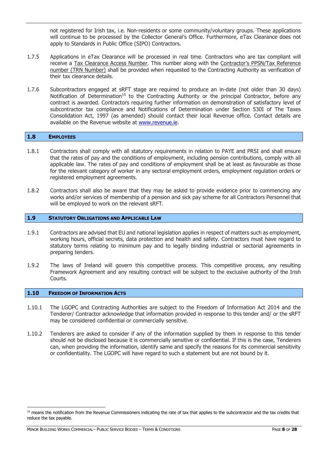not registered for Irish tax, i.e. Non-residents or some community/voluntary groups. These applications will continue to be processed by the Collector General's Office. Furthermore, eTax Clearance does not apply to Standards in Public Office (SIPO) Contractors.

- 1.7.5 Applications in eTax Clearance will be processed in real time. Contractors who are tax compliant will receive a Tax Clearance Access Number. This number along with the Contractor's PPSN/Tax Reference number (TRN Number) shall be provided when requested to the Contracting Authority as verification of their tax clearance details.
- 1.7.6 Subcontractors engaged at sRFT stage are required to produce an in-date (not older than 30 days) Notification of Determination<sup>15</sup> to the Contracting Authority or the principal Contractor, before any contract is awarded. Contractors requiring further information on demonstration of satisfactory level of subcontractor tax compliance and Notifications of Determination under Section 530I of The Taxes Consolidation Act, 1997 (as amended) should contact their local Revenue office. Contact details are available on the Revenue website at www.revenue.ie.

#### 1.8 EMPLOYEES

- 1.8.1 Contractors shall comply with all statutory requirements in relation to PAYE and PRSI and shall ensure that the rates of pay and the conditions of employment, including pension contributions, comply with all applicable law. The rates of pay and conditions of employment shall be at least as favourable as those for the relevant category of worker in any sectoral employment orders, employment regulation orders or registered employment agreements.
- 1.8.2 Contractors shall also be aware that they may be asked to provide evidence prior to commencing any works and/or services of membership of a pension and sick pay scheme for all Contractors Personnel that will be employed to work on the relevant sRFT.

#### 1.9 STATUTORY OBLIGATIONS AND APPLICABLE LAW

- 1.9.1 Contractors are advised that EU and national legislation applies in respect of matters such as employment, working hours, official secrets, data protection and health and safety. Contractors must have regard to statutory terms relating to minimum pay and to legally binding industrial or sectorial agreements in preparing tenders.
- 1.9.2 The laws of Ireland will govern this competitive process. This competitive process, any resulting Framework Agreement and any resulting contract will be subject to the exclusive authority of the Irish Courts.

#### 1.10 FREEDOM OF INFORMATION ACTS

- 1.10.1 The LGOPC and Contracting Authorities are subject to the Freedom of Information Act 2014 and the Tenderer/ Contractor acknowledge that information provided in response to this tender and/ or the sRFT may be considered confidential or commercially sensitive.
- 1.10.2 Tenderers are asked to consider if any of the information supplied by them in response to this tender should not be disclosed because it is commercially sensitive or confidential. If this is the case, Tenderers can, when providing the information, identify same and specify the reasons for its commercial sensitivity or confidentiality. The LGOPC will have regard to such a statement but are not bound by it.

<sup>&</sup>lt;sup>15</sup> means the notification from the Revenue Commissioners indicating the rate of tax that applies to the subcontractor and the tax credits that reduce the tax payable.

MINOR BUILDING WORKS COMMERCIAL– PUBLIC SERVICE BODIES – TERMS & CONDITIONS PAGE 8 OF 28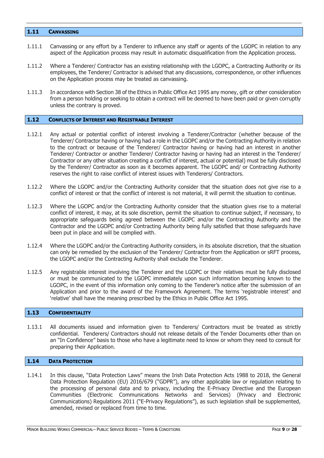# 1.11 CANVASSING

- 1.11.1 Canvassing or any effort by a Tenderer to influence any staff or agents of the LGOPC in relation to any aspect of the Application process may result in automatic disqualification from the Application process.
- 1.11.2 Where a Tenderer/ Contractor has an existing relationship with the LGOPC, a Contracting Authority or its employees, the Tenderer/ Contractor is advised that any discussions, correspondence, or other influences on the Application process may be treated as canvassing.
- 1.11.3 In accordance with Section 38 of the Ethics in Public Office Act 1995 any money, gift or other consideration from a person holding or seeking to obtain a contract will be deemed to have been paid or given corruptly unless the contrary is proved.

#### 1.12 CONFLICTS OF INTEREST AND REGISTRABLE INTEREST

- 1.12.1 Any actual or potential conflict of interest involving a Tenderer/Contractor (whether because of the Tenderer/ Contractor having or having had a role in the LGOPC and/or the Contracting Authority in relation to the contract or because of the Tenderer/ Contractor having or having had an interest in another Tenderer/ Contractor or another Tenderer/ Contractor having or having had an interest in the Tenderer/ Contractor or any other situation creating a conflict of interest, actual or potential) must be fully disclosed by the Tenderer/ Contractor as soon as it becomes apparent. The LGOPC and/ or Contracting Authority reserves the right to raise conflict of interest issues with Tenderers/ Contractors.
- 1.12.2 Where the LGOPC and/or the Contracting Authority consider that the situation does not give rise to a conflict of interest or that the conflict of interest is not material, it will permit the situation to continue.
- 1.12.3 Where the LGOPC and/or the Contracting Authority consider that the situation gives rise to a material conflict of interest, it may, at its sole discretion, permit the situation to continue subject, if necessary, to appropriate safeguards being agreed between the LGOPC and/or the Contracting Authority and the Contractor and the LGOPC and/or Contracting Authority being fully satisfied that those safeguards have been put in place and will be complied with.
- 1.12.4 Where the LGOPC and/or the Contracting Authority considers, in its absolute discretion, that the situation can only be remedied by the exclusion of the Tenderer/ Contractor from the Application or sRFT process, the LGOPC and/or the Contracting Authority shall exclude the Tenderer.
- 1.12.5 Any registrable interest involving the Tenderer and the LGOPC or their relatives must be fully disclosed or must be communicated to the LGOPC immediately upon such information becoming known to the LGOPC, in the event of this information only coming to the Tenderer's notice after the submission of an Application and prior to the award of the Framework Agreement. The terms 'registrable interest' and 'relative' shall have the meaning prescribed by the Ethics in Public Office Act 1995.

## 1.13 CONFIDENTIALITY

1.13.1 All documents issued and information given to Tenderers/ Contractors must be treated as strictly confidential. Tenderers/ Contractors should not release details of the Tender Documents other than on an "In Confidence" basis to those who have a legitimate need to know or whom they need to consult for preparing their Application.

# 1.14 DATA PROTECTION

1.14.1 In this clause, "Data Protection Laws" means the Irish Data Protection Acts 1988 to 2018, the General Data Protection Regulation (EU) 2016/679 ("GDPR"), any other applicable law or regulation relating to the processing of personal data and to privacy, including the E-Privacy Directive and the European Communities (Electronic Communications Networks and Services) (Privacy and Electronic Communications) Regulations 2011 ("E-Privacy Regulations"), as such legislation shall be supplemented, amended, revised or replaced from time to time.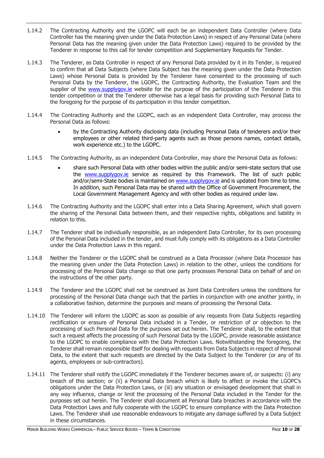- 1.14.2 The Contracting Authority and the LGOPC will each be an independent Data Controller (where Data Controller has the meaning given under the Data Protection Laws) in respect of any Personal Data (where Personal Data has the meaning given under the Data Protection Laws) required to be provided by the Tenderer in response to this call for tender competition and Supplementary Requests for Tender.
- 1.14.3 The Tenderer, as Data Controller in respect of any Personal Data provided by it in its Tender, is required to confirm that all Data Subjects (where Data Subject has the meaning given under the Data Protection Laws) whose Personal Data is provided by the Tenderer have consented to the processing of such Personal Data by the Tenderer, the LGOPC, the Contracting Authority, the Evaluation Team and the supplier of the www.supplygov.ie website for the purpose of the participation of the Tenderer in this tender competition or that the Tenderer otherwise has a legal basis for providing such Personal Data to the foregoing for the purpose of its participation in this tender competition.
- 1.14.4 The Contracting Authority and the LGOPC, each as an independent Data Controller, may process the Personal Data as follows:
	- by the Contracting Authority disclosing data (including Personal Data of tenderers and/or their employees or other related third-party agents such as those persons names, contact details, work experience etc.) to the LGOPC.
- 1.14.5 The Contracting Authority, as an independent Data Controller, may share the Personal Data as follows:
	- share such Personal Data with other bodies within the public and/or semi-state sectors that use the www.supplygov.ie service as required by this Framework. The list of such public and/or/semi-State bodies is maintained on **www.supplygov.ie** and is updated from time to time. In addition, such Personal Data may be shared with the Office of Government Procurement, the Local Government Management Agency and with other bodies as required under law.
- 1.14.6 The Contracting Authority and the LGOPC shall enter into a Data Sharing Agreement, which shall govern the sharing of the Personal Data between them, and their respective rights, obligations and liability in relation to this.
- 1.14.7 The Tenderer shall be individually responsible, as an independent Data Controller, for its own processing of the Personal Data included in the tender, and must fully comply with its obligations as a Data Controller under the Data Protection Laws in this regard.
- 1.14.8 Neither the Tenderer or the LGOPC shall be construed as a Data Processor (where Data Processor has the meaning given under the Data Protection Laws) in relation to the other, unless the conditions for processing of the Personal Data change so that one party processes Personal Data on behalf of and on the instructions of the other party.
- 1.14.9 The Tenderer and the LGOPC shall not be construed as Joint Data Controllers unless the conditions for processing of the Personal Data change such that the parties in conjunction with one another jointly, in a collaborative fashion, determine the purposes and means of processing the Personal Data.
- 1.14.10 The Tenderer will inform the LGOPC as soon as possible of any requests from Data Subjects regarding rectification or erasure of Personal Data included in a Tender, or restriction of or objection to the processing of such Personal Data for the purposes set out herein. The Tenderer shall, to the extent that such a request affects the processing of such Personal Data by the LGOPC, provide reasonable assistance to the LGOPC to enable compliance with the Data Protection Laws. Notwithstanding the foregoing, the Tenderer shall remain responsible itself for dealing with requests from Data Subjects in respect of Personal Data, to the extent that such requests are directed by the Data Subject to the Tenderer (or any of its agents, employees or sub-contractors).
- 1.14.11 The Tenderer shall notify the LGOPC immediately if the Tenderer becomes aware of, or suspects: (i) any breach of this section; or (ii) a Personal Data breach which is likely to affect or invoke the LGOPC's obligations under the Data Protection Laws, or (iii) any situation or envisaged development that shall in any way influence, change or limit the processing of the Personal Data included in the Tender for the purposes set out herein. The Tenderer shall document all Personal Data breaches in accordance with the Data Protection Laws and fully cooperate with the LGOPC to ensure compliance with the Data Protection Laws. The Tenderer shall use reasonable endeavours to mitigate any damage suffered by a Data Subject in these circumstances.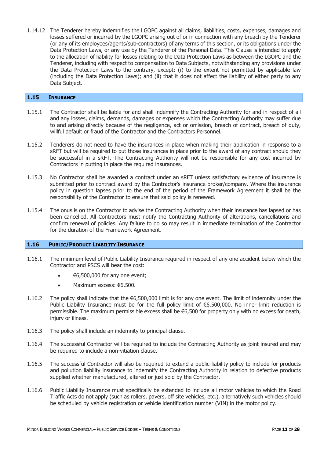1.14.12 The Tenderer hereby indemnifies the LGOPC against all claims, liabilities, costs, expenses, damages and losses suffered or incurred by the LGOPC arising out of or in connection with any breach by the Tenderer (or any of its employees/agents/sub-contractors) of any terms of this section, or its obligations under the Data Protection Laws, or any use by the Tenderer of the Personal Data. This Clause is intended to apply to the allocation of liability for losses relating to the Data Protection Laws as between the LGOPC and the Tenderer, including with respect to compensation to Data Subjects, notwithstanding any provisions under the Data Protection Laws to the contrary, except: (i) to the extent not permitted by applicable law (including the Data Protection Laws); and (ii) that it does not affect the liability of either party to any Data Subject.

## 1.15 INSURANCE

- 1.15.1 The Contractor shall be liable for and shall indemnify the Contracting Authority for and in respect of all and any losses, claims, demands, damages or expenses which the Contracting Authority may suffer due to and arising directly because of the negligence, act or omission, breach of contract, breach of duty, willful default or fraud of the Contractor and the Contractors Personnel.
- 1.15.2 Tenderers do not need to have the insurances in place when making their application in response to a sRFT but will be required to put those insurances in place prior to the award of any contract should they be successful in a sRFT. The Contracting Authority will not be responsible for any cost incurred by Contractors in putting in place the required insurances.
- 1.15.3 No Contractor shall be awarded a contract under an sRFT unless satisfactory evidence of insurance is submitted prior to contract award by the Contractor's insurance broker/company. Where the insurance policy in question lapses prior to the end of the period of the Framework Agreement it shall be the responsibility of the Contractor to ensure that said policy is renewed.
- 1.15.4 The onus is on the Contractor to advise the Contracting Authority when their insurance has lapsed or has been cancelled. All Contractors must notify the Contracting Authority of alterations, cancellations and confirm renewal of policies. Any failure to do so may result in immediate termination of the Contractor for the duration of the Framework Agreement.

#### 1.16 PUBLIC/PRODUCT LIABILITY INSURANCE

- 1.16.1 The minimum level of Public Liability Insurance required in respect of any one accident below which the Contractor and PSCS will bear the cost:
	- €6,500,000 for any one event;
	- Maximum excess: €6,500.
- 1.16.2 The policy shall indicate that the €6,500,000 limit is for any one event. The limit of indemnity under the Public Liability Insurance must be for the full policy limit of €6,500,000. No inner limit reduction is permissible. The maximum permissible excess shall be €6,500 for property only with no excess for death, injury or illness.
- 1.16.3 The policy shall include an indemnity to principal clause.
- 1.16.4 The successful Contractor will be required to include the Contracting Authority as joint insured and may be required to include a non-vitiation clause.
- 1.16.5 The successful Contractor will also be required to extend a public liability policy to include for products and pollution liability insurance to indemnify the Contracting Authority in relation to defective products supplied whether manufactured, altered or just sold by the Contractor.
- 1.16.6 Public Liability Insurance must specifically be extended to include all motor vehicles to which the Road Traffic Acts do not apply (such as rollers, pavers, off site vehicles, etc.), alternatively such vehicles should be scheduled by vehicle registration or vehicle identification number (VIN) in the motor policy.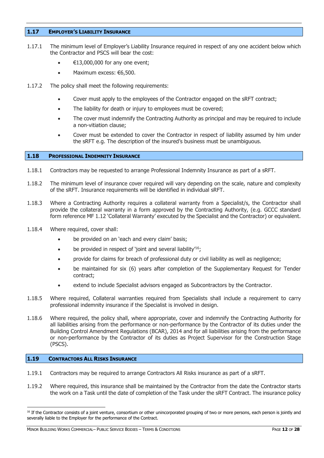# 1.17 EMPLOYER'S LIABILITY INSURANCE

- 1.17.1 The minimum level of Employer's Liability Insurance required in respect of any one accident below which the Contractor and PSCS will bear the cost:
	- €13,000,000 for any one event;
	- Maximum excess: €6,500.
- 1.17.2 The policy shall meet the following requirements:
	- Cover must apply to the employees of the Contractor engaged on the sRFT contract;
	- The liability for death or injury to employees must be covered:
	- The cover must indemnify the Contracting Authority as principal and may be required to include a non-vitiation clause;
	- Cover must be extended to cover the Contractor in respect of liability assumed by him under the sRFT e.g. The description of the insured's business must be unambiguous.

#### 1.18 PROFESSIONAL INDEMNITY INSURANCE

- 1.18.1 Contractors may be requested to arrange Professional Indemnity Insurance as part of a sRFT.
- 1.18.2 The minimum level of insurance cover required will vary depending on the scale, nature and complexity of the sRFT. Insurance requirements will be identified in individual sRFT.
- 1.18.3 Where a Contracting Authority requires a collateral warranty from a Specialist/s, the Contractor shall provide the collateral warranty in a form approved by the Contracting Authority, (e.g. GCCC standard form reference MF 1.12 'Collateral Warranty' executed by the Specialist and the Contractor) or equivalent.
- 1.18.4 Where required, cover shall:
	- be provided on an 'each and every claim' basis;
	- $\bullet$  be provided in respect of 'joint and several liability'<sup>16</sup>;
	- provide for claims for breach of professional duty or civil liability as well as negligence;
	- be maintained for six (6) years after completion of the Supplementary Request for Tender contract;
	- extend to include Specialist advisors engaged as Subcontractors by the Contractor.
- 1.18.5 Where required, Collateral warranties required from Specialists shall include a requirement to carry professional indemnity insurance if the Specialist is involved in design.
- 1.18.6 Where required, the policy shall, where appropriate, cover and indemnify the Contracting Authority for all liabilities arising from the performance or non-performance by the Contractor of its duties under the Building Control Amendment Regulations (BCAR), 2014 and for all liabilities arising from the performance or non-performance by the Contractor of its duties as Project Supervisor for the Construction Stage (PSCS).

#### 1.19 CONTRACTORS ALL RISKS INSURANCE

- 1.19.1 Contractors may be required to arrange Contractors All Risks insurance as part of a sRFT.
- 1.19.2 Where required, this insurance shall be maintained by the Contractor from the date the Contractor starts the work on a Task until the date of completion of the Task under the sRFT Contract. The insurance policy

<sup>&</sup>lt;sup>16</sup> If the Contractor consists of a joint venture, consortium or other unincorporated grouping of two or more persons, each person is jointly and severally liable to the Employer for the performance of the Contract.

MINOR BUILDING WORKS COMMERCIAL– PUBLIC SERVICE BODIES – TERMS & CONDITIONS PAGE 12 OF 28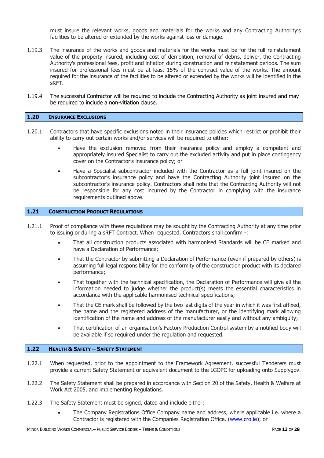must insure the relevant works, goods and materials for the works and any Contracting Authority's facilities to be altered or extended by the works against loss or damage.

- 1.19.3 The insurance of the works and goods and materials for the works must be for the full reinstatement value of the property insured, including cost of demolition, removal of debris, deliver, the Contracting Authority's professional fees, profit and inflation during construction and reinstatement periods. The sum insured for professional fees must be at least 15% of the contract value of the works. The amount required for the insurance of the facilities to be altered or extended by the works will be identified in the sRFT.
- 1.19.4 The successful Contractor will be required to include the Contracting Authority as joint insured and may be required to include a non-vitiation clause.

# 1.20 INSURANCE EXCLUSIONS

- 1.20.1 Contractors that have specific exclusions noted in their insurance policies which restrict or prohibit their ability to carry out certain works and/or services will be required to either:
	- Have the exclusion removed from their insurance policy and employ a competent and appropriately insured Specialist to carry out the excluded activity and put in place contingency cover on the Contractor's insurance policy; or
	- Have a Specialist subcontractor included with the Contractor as a full joint insured on the subcontractor's insurance policy and have the Contracting Authority joint insured on the subcontractor's insurance policy. Contractors shall note that the Contracting Authority will not be responsible for any cost incurred by the Contractor in complying with the insurance requirements outlined above.

# 1.21 CONSTRUCTION PRODUCT REGULATIONS

- 1.21.1 Proof of compliance with these regulations may be sought by the Contracting Authority at any time prior to issuing or during a sRFT Contract. When requested, Contractors shall confirm -:
	- That all construction products associated with harmonised Standards will be CE marked and have a Declaration of Performance;
	- That the Contractor by submitting a Declaration of Performance (even if prepared by others) is assuming full legal responsibility for the conformity of the construction product with its declared performance;
	- That together with the technical specification, the Declaration of Performance will give all the information needed to judge whether the product(s) meets the essential characteristics in accordance with the applicable harmonised technical specifications;
	- That the CE mark shall be followed by the two last digits of the year in which it was first affixed, the name and the registered address of the manufacturer, or the identifying mark allowing identification of the name and address of the manufacturer easily and without any ambiguity;
	- That certification of an organisation's Factory Production Control system by a notified body will be available if so required under the regulation and requested.

# 1.22 HEALTH & SAFETY – SAFETY STATEMENT

- 1.22.1 When requested, prior to the appointment to the Framework Agreement, successful Tenderers must provide a current Safety Statement or equivalent document to the LGOPC for uploading onto Supplygov.
- 1.22.2 The Safety Statement shall be prepared in accordance with Section 20 of the Safety, Health & Welfare at Work Act 2005, and implementing Regulations.
- 1.22.3 The Safety Statement must be signed, dated and include either:
	- The Company Registrations Office Company name and address, where applicable i.e. where a Contractor is registered with the Companies Registration Office, (www.cro.ie); or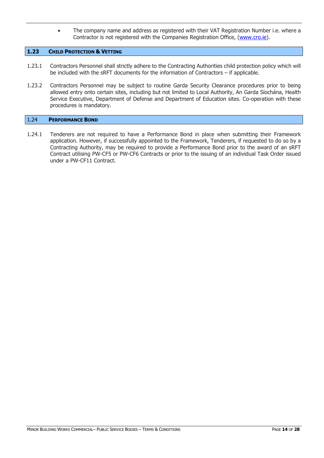The company name and address as registered with their VAT Registration Number i.e. where a Contractor is not registered with the Companies Registration Office, (www.cro.ie).

# 1.23 CHILD PROTECTION & VETTING

- 1.23.1 Contractors Personnel shall strictly adhere to the Contracting Authorities child protection policy which will be included with the sRFT documents for the information of Contractors – if applicable.
- 1.23.2 Contractors Personnel may be subject to routine Garda Security Clearance procedures prior to being allowed entry onto certain sites, including but not limited to Local Authority, An Garda Síochána, Health Service Executive, Department of Defense and Department of Education sites. Co-operation with these procedures is mandatory.

# 1.24 PERFORMANCE BOND

1.24.1 Tenderers are not required to have a Performance Bond in place when submitting their Framework application. However, if successfully appointed to the Framework, Tenderers, if requested to do so by a Contracting Authority, may be required to provide a Performance Bond prior to the award of an sRFT Contract utilising PW-CF5 or PW-CF6 Contracts or prior to the issuing of an individual Task Order issued under a PW-CF11 Contract.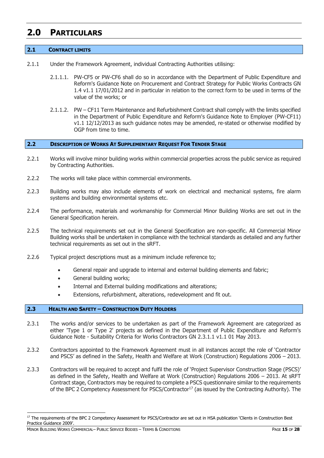# 2.0 PARTICULARS

# 2.1 CONTRACT LIMITS

- 2.1.1 Under the Framework Agreement, individual Contracting Authorities utilising:
	- 2.1.1.1. PW-CF5 or PW-CF6 shall do so in accordance with the Department of Public Expenditure and Reform's Guidance Note on Procurement and Contract Strategy for Public Works Contracts GN 1.4 v1.1 17/01/2012 and in particular in relation to the correct form to be used in terms of the value of the works; or
	- 2.1.1.2. PW CF11 Term Maintenance and Refurbishment Contract shall comply with the limits specified in the Department of Public Expenditure and Reform's Guidance Note to Employer (PW-CF11) v1.1 12/12/2013 as such guidance notes may be amended, re-stated or otherwise modified by OGP from time to time.

# 2.2 DESCRIPTION OF WORKS AT SUPPLEMENTARY REQUEST FOR TENDER STAGE

- 2.2.1 Works will involve minor building works within commercial properties across the public service as required by Contracting Authorities.
- 2.2.2 The works will take place within commercial environments.
- 2.2.3 Building works may also include elements of work on electrical and mechanical systems, fire alarm systems and building environmental systems etc.
- 2.2.4 The performance, materials and workmanship for Commercial Minor Building Works are set out in the General Specification herein.
- 2.2.5 The technical requirements set out in the General Specification are non-specific. All Commercial Minor Building works shall be undertaken in compliance with the technical standards as detailed and any further technical requirements as set out in the sRFT.
- 2.2.6 Typical project descriptions must as a minimum include reference to;
	- General repair and upgrade to internal and external building elements and fabric;
	- General building works:
	- Internal and External building modifications and alterations;
	- Extensions, refurbishment, alterations, redevelopment and fit out.

# 2.3 HEALTH AND SAFETY – CONSTRUCTION DUTY HOLDERS

- 2.3.1 The works and/or services to be undertaken as part of the Framework Agreement are categorized as either 'Type 1 or Type 2' projects as defined in the Department of Public Expenditure and Reform's Guidance Note - Suitability Criteria for Works Contractors GN 2.3.1.1 v1.1 01 May 2013.
- 2.3.2 Contractors appointed to the Framework Agreement must in all instances accept the role of 'Contractor and PSCS' as defined in the Safety, Health and Welfare at Work (Construction) Regulations 2006 – 2013.
- 2.3.3 Contractors will be required to accept and fulfil the role of 'Project Supervisor Construction Stage (PSCS)' as defined in the Safety, Health and Welfare at Work (Construction) Regulations 2006 – 2013. At sRFT Contract stage, Contractors may be required to complete a PSCS questionnaire similar to the requirements of the BPC 2 Competency Assessment for PSCS/Contractor<sup>17</sup> (as issued by the Contracting Authority). The

MINOR BUILDING WORKS COMMERCIAL– PUBLIC SERVICE BODIES – TERMS & CONDITIONS PAGE 15 OF 28

<sup>&</sup>lt;sup>17</sup> The requirements of the BPC 2 Competency Assessment for PSCS/Contractor are set out in HSA publication 'Clients in Construction Best Practice Guidance 2009'.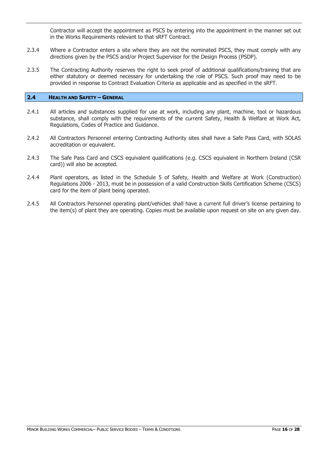Contractor will accept the appointment as PSCS by entering into the appointment in the manner set out in the Works Requirements relevant to that sRFT Contract.

- 2.3.4 Where a Contractor enters a site where they are not the nominated PSCS, they must comply with any directions given by the PSCS and/or Project Supervisor for the Design Process (PSDP).
- 2.3.5 The Contracting Authority reserves the right to seek proof of additional qualifications/training that are either statutory or deemed necessary for undertaking the role of PSCS. Such proof may need to be provided in response to Contract Evaluation Criteria as applicable and as specified in the sRFT.

#### 2.4 HEALTH AND SAFETY – GENERAL

- 2.4.1 All articles and substances supplied for use at work, including any plant, machine, tool or hazardous substance, shall comply with the requirements of the current Safety, Health & Welfare at Work Act, Regulations, Codes of Practice and Guidance.
- 2.4.2 All Contractors Personnel entering Contracting Authority sites shall have a Safe Pass Card, with SOLAS accreditation or equivalent.
- 2.4.3 The Safe Pass Card and CSCS equivalent qualifications (e.g. CSCS equivalent in Northern Ireland (CSR card)) will also be accepted.
- 2.4.4 Plant operators, as listed in the Schedule 5 of Safety, Health and Welfare at Work (Construction) Regulations 2006 - 2013, must be in possession of a valid Construction Skills Certification Scheme (CSCS) card for the item of plant being operated.
- 2.4.5 All Contractors Personnel operating plant/vehicles shall have a current full driver's license pertaining to the item(s) of plant they are operating. Copies must be available upon request on site on any given day.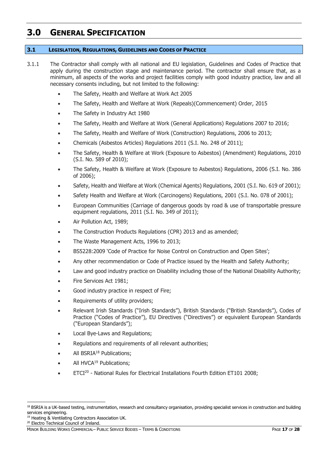# 3.0 GENERAL SPECIFICATION

# 3.1 LEGISLATION, REGULATIONS, GUIDELINES AND CODES OF PRACTICE

- 3.1.1 The Contractor shall comply with all national and EU legislation, Guidelines and Codes of Practice that apply during the construction stage and maintenance period. The contractor shall ensure that, as a minimum, all aspects of the works and project facilities comply with good industry practice, law and all necessary consents including, but not limited to the following:
	- The Safety, Health and Welfare at Work Act 2005
	- The Safety, Health and Welfare at Work (Repeals)(Commencement) Order, 2015
	- The Safety in Industry Act 1980
	- The Safety, Health and Welfare at Work (General Applications) Regulations 2007 to 2016;
	- The Safety, Health and Welfare of Work (Construction) Regulations, 2006 to 2013;
	- Chemicals (Asbestos Articles) Regulations 2011 (S.I. No. 248 of 2011);
	- The Safety, Health & Welfare at Work (Exposure to Asbestos) (Amendment) Regulations, 2010 (S.I. No. 589 of 2010);
	- The Safety, Health & Welfare at Work (Exposure to Asbestos) Regulations, 2006 (S.I. No. 386 of 2006);
	- Safety, Health and Welfare at Work (Chemical Agents) Regulations, 2001 (S.I. No. 619 of 2001);
	- Safety Health and Welfare at Work (Carcinogens) Regulations, 2001 (S.I. No. 078 of 2001);
	- European Communities (Carriage of dangerous goods by road & use of transportable pressure equipment regulations, 2011 (S.I. No. 349 of 2011);
	- Air Pollution Act, 1989;
	- The Construction Products Regulations (CPR) 2013 and as amended;
	- The Waste Management Acts, 1996 to 2013;
	- BS5228:2009 'Code of Practice for Noise Control on Construction and Open Sites';
	- Any other recommendation or Code of Practice issued by the Health and Safety Authority;
	- Law and good industry practice on Disability including those of the National Disability Authority;
	- Fire Services Act 1981;
	- Good industry practice in respect of Fire;
	- Requirements of utility providers;
	- Relevant Irish Standards ("Irish Standards"), British Standards ("British Standards"), Codes of Practice ("Codes of Practice"), EU Directives ("Directives") or equivalent European Standards ("European Standards");
	- Local Bye-Laws and Regulations;
	- Regulations and requirements of all relevant authorities;
	- All BSRIA<sup>18</sup> Publications;
	- All HVCA<sup>19</sup> Publications;
	- ETCI<sup>20</sup> National Rules for Electrical Installations Fourth Edition ET101 2008;

<sup>&</sup>lt;sup>18</sup> BSRIA is a UK-based testing, instrumentation, research and consultancy organisation, providing specialist services in construction and building services engineering.

<sup>19</sup> Heating & Ventilating Contractors Association UK.

<sup>&</sup>lt;sup>20</sup> Electro Technical Council of Ireland.

MINOR BUILDING WORKS COMMERCIAL– PUBLIC SERVICE BODIES – TERMS & CONDITIONS PAGE 17 OF 28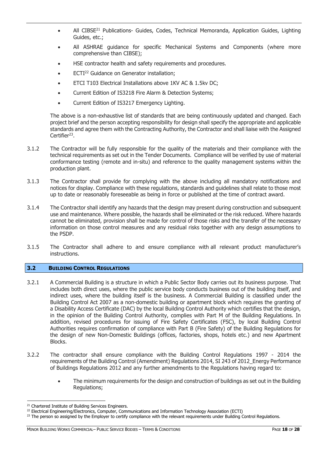- All CIBSE<sup>21</sup> Publications- Guides, Codes, Technical Memoranda, Application Guides, Lighting Guides, etc.;
- All ASHRAE guidance for specific Mechanical Systems and Components (where more comprehensive than CIBSE);
- HSE contractor health and safety requirements and procedures.
- ECTI<sup>22</sup> Guidance on Generator installation;
- **ETCI T103 Electrical Installations above 1KV AC & 1.5kv DC;**
- Current Edition of IS3218 Fire Alarm & Detection Systems;
- Current Edition of IS3217 Emergency Lighting.

The above is a non-exhaustive list of standards that are being continuously updated and changed. Each project brief and the person accepting responsibility for design shall specify the appropriate and applicable standards and agree them with the Contracting Authority, the Contractor and shall liaise with the Assigned Certifier<sup>23</sup>.

- 3.1.2 The Contractor will be fully responsible for the quality of the materials and their compliance with the technical requirements as set out in the Tender Documents. Compliance will be verified by use of material conformance testing (remote and in-situ) and reference to the quality management systems within the production plant.
- 3.1.3 The Contractor shall provide for complying with the above including all mandatory notifications and notices for display. Compliance with these regulations, standards and guidelines shall relate to those most up to date or reasonably foreseeable as being in force or published at the time of contract award.
- 3.1.4 The Contractor shall identify any hazards that the design may present during construction and subsequent use and maintenance. Where possible, the hazards shall be eliminated or the risk reduced. Where hazards cannot be eliminated, provision shall be made for control of those risks and the transfer of the necessary information on those control measures and any residual risks together with any design assumptions to the PSDP.
- 3.1.5 The Contractor shall adhere to and ensure compliance with all relevant product manufacturer's instructions.

# 3.2 BUILDING CONTROL REGULATIONS

- 3.2.1 A Commercial Building is a structure in which a Public Sector Body carries out its business purpose. That includes both direct uses, where the public service body conducts business out of the building itself, and indirect uses, where the building itself is the business. A Commercial Building is classified under the Building Control Act 2007 as a non-domestic building or apartment block which requires the granting of a Disability Access Certificate (DAC) by the local Building Control Authority which certifies that the design, in the opinion of the Building Control Authority, complies with Part M of the Building Regulations. In addition, revised procedures for issuing of Fire Safety Certificates (FSC), by local Building Control Authorities requires confirmation of compliance with Part B (Fire Safety) of the Building Regulations for the design of new Non-Domestic Buildings (offices, factories, shops, hotels etc.) and new Apartment Blocks.
- 3.2.2 The contractor shall ensure compliance with the Building Control Regulations 1997 2014 the requirements of the Building Control (Amendment) Regulations 2014, SI 243 of 2012\_Energy Performance of Buildings Regulations 2012 and any further amendments to the Regulations having regard to:
	- The minimum requirements for the design and construction of buildings as set out in the Building Regulations;

<sup>&</sup>lt;sup>21</sup> Chartered Institute of Building Services Engineers.

<sup>&</sup>lt;sup>22</sup> Electrical Engineering/Electronics, Computer, Communications and Information Technology Association (ECTI)

 $23$  The person so assigned by the Employer to certify compliance with the relevant requirements under Building Control Regulations.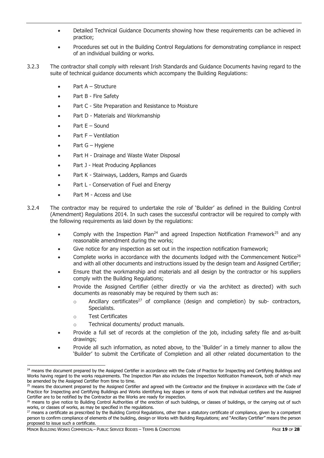- Detailed Technical Guidance Documents showing how these requirements can be achieved in practice;
- Procedures set out in the Building Control Regulations for demonstrating compliance in respect of an individual building or works.
- 3.2.3 The contractor shall comply with relevant Irish Standards and Guidance Documents having regard to the suite of technical guidance documents which accompany the Building Regulations:
	- Part A Structure
	- Part B Fire Safety
	- Part C Site Preparation and Resistance to Moisture
	- Part D Materials and Workmanship
	- Part E Sound
	- Part F Ventilation
	- Part G Hygiene
	- Part H Drainage and Waste Water Disposal
	- Part J Heat Producing Appliances
	- Part K Stairways, Ladders, Ramps and Guards
	- Part L Conservation of Fuel and Energy
	- Part M Access and Use
- 3.2.4 The contractor may be required to undertake the role of 'Builder' as defined in the Building Control (Amendment) Regulations 2014. In such cases the successful contractor will be required to comply with the following requirements as laid down by the regulations:
	- Comply with the Inspection Plan<sup>24</sup> and agreed Inspection Notification Framework<sup>25</sup> and any reasonable amendment during the works;
	- Give notice for any inspection as set out in the inspection notification framework;
	- Complete works in accordance with the documents lodged with the Commencement Notice<sup>26</sup> and with all other documents and instructions issued by the design team and Assigned Certifier;
	- Ensure that the workmanship and materials and all design by the contractor or his suppliers comply with the Building Regulations;
	- Provide the Assigned Certifier (either directly or via the architect as directed) with such documents as reasonably may be required by them such as:
		- $\circ$  Ancillary certificates<sup>27</sup> of compliance (design and completion) by sub- contractors, Specialists.
		- o Test Certificates
		- o Technical documents/ product manuals.
	- Provide a full set of records at the completion of the job, including safety file and as-built drawings;
	- Provide all such information, as noted above, to the 'Builder' in a timely manner to allow the 'Builder' to submit the Certificate of Completion and all other related documentation to the

<sup>&</sup>lt;sup>24</sup> means the document prepared by the Assigned Certifier in accordance with the Code of Practice for Inspecting and Certifying Buildings and Works having regard to the works requirements. The Inspection Plan also includes the Inspection Notification Framework, both of which may be amended by the Assigned Certifier from time to time.

<sup>&</sup>lt;sup>25</sup> means the document prepared by the Assigned Certifier and agreed with the Contractor and the Employer in accordance with the Code of Practice for Inspecting and Certifying Buildings and Works identifying key stages or items of work that individual certifiers and the Assigned Certifier are to be notified by the Contractor as the Works are ready for inspection.

<sup>&</sup>lt;sup>26</sup> means to give notice to Building Control Authorities of the erection of such buildings, or classes of buildings, or the carrying out of such works, or classes of works, as may be specified in the regulations.

 $27$  means a certificate as prescribed by the Building Control Regulations, other than a statutory certificate of compliance, given by a competent person to confirm compliance of elements of the building, design or Works with Building Regulations; and "Ancillary Certifier" means the person proposed to issue such a certificate.

MINOR BUILDING WORKS COMMERCIAL– PUBLIC SERVICE BODIES – TERMS & CONDITIONS PAGE 19 OF 28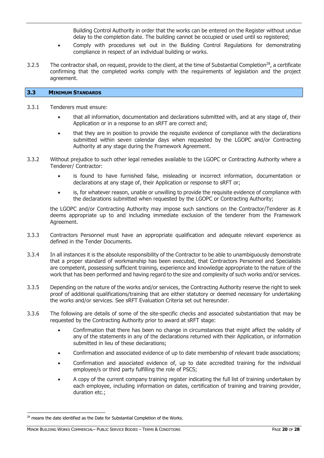Building Control Authority in order that the works can be entered on the Register without undue delay to the completion date. The building cannot be occupied or used until so registered;

- Comply with procedures set out in the Building Control Regulations for demonstrating compliance in respect of an individual building or works.
- 3.2.5 The contractor shall, on request, provide to the client, at the time of Substantial Completion<sup>28</sup>, a certificate confirming that the completed works comply with the requirements of legislation and the project agreement.

# 3.3 MINIMUM STANDARDS

- 3.3.1 Tenderers must ensure:
	- that all information, documentation and declarations submitted with, and at any stage of, their Application or in a response to an sRFT are correct and;
	- that they are in position to provide the requisite evidence of compliance with the declarations submitted within seven calendar days when requested by the LGOPC and/or Contracting Authority at any stage during the Framework Agreement.
- 3.3.2 Without prejudice to such other legal remedies available to the LGOPC or Contracting Authority where a Tenderer/ Contractor:
	- is found to have furnished false, misleading or incorrect information, documentation or declarations at any stage of, their Application or response to sRFT or;
	- is, for whatever reason, unable or unwilling to provide the requisite evidence of compliance with the declarations submitted when requested by the LGOPC or Contracting Authority;

the LGOPC and/or Contracting Authority may impose such sanctions on the Contractor/Tenderer as it deems appropriate up to and including immediate exclusion of the tenderer from the Framework Agreement.

- 3.3.3 Contractors Personnel must have an appropriate qualification and adequate relevant experience as defined in the Tender Documents.
- 3.3.4 In all instances it is the absolute responsibility of the Contractor to be able to unambiguously demonstrate that a proper standard of workmanship has been executed, that Contractors Personnel and Specialists are competent, possessing sufficient training, experience and knowledge appropriate to the nature of the work that has been performed and having regard to the size and complexity of such works and/or services.
- 3.3.5 Depending on the nature of the works and/or services, the Contracting Authority reserve the right to seek proof of additional qualifications/training that are either statutory or deemed necessary for undertaking the works and/or services. See sRFT Evaluation Criteria set out hereunder.
- 3.3.6 The following are details of some of the site-specific checks and associated substantiation that may be requested by the Contracting Authority prior to award at sRFT stage:
	- Confirmation that there has been no change in circumstances that might affect the validity of any of the statements in any of the declarations returned with their Application, or information submitted in lieu of these declarations;
	- Confirmation and associated evidence of up to date membership of relevant trade associations;
	- Confirmation and associated evidence of, up to date accredited training for the individual employee/s or third party fulfilling the role of PSCS;
	- A copy of the current company training register indicating the full list of training undertaken by each employee, including information on dates, certification of training and training provider, duration etc.:

 $28$  means the date identified as the Date for Substantial Completion of the Works.

MINOR BUILDING WORKS COMMERCIAL– PUBLIC SERVICE BODIES – TERMS & CONDITIONS PAGE 20 OF 28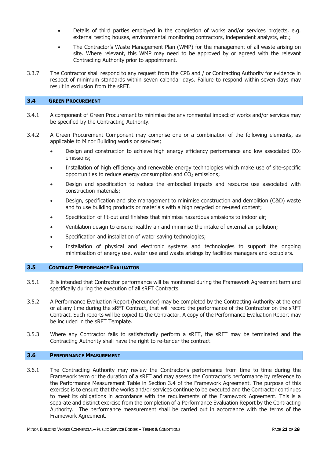- Details of third parties employed in the completion of works and/or services projects, e.g. external testing houses, environmental monitoring contractors, independent analysts, etc.;
- The Contractor's Waste Management Plan (WMP) for the management of all waste arising on site. Where relevant, this WMP may need to be approved by or agreed with the relevant Contracting Authority prior to appointment.
- 3.3.7 The Contractor shall respond to any request from the CPB and / or Contracting Authority for evidence in respect of minimum standards within seven calendar days. Failure to respond within seven days may result in exclusion from the sRFT.

# 3.4 GREEN PROCUREMENT

- 3.4.1 A component of Green Procurement to minimise the environmental impact of works and/or services may be specified by the Contracting Authority.
- 3.4.2 A Green Procurement Component may comprise one or a combination of the following elements, as applicable to Minor Building works or services;
	- Design and construction to achieve high energy efficiency performance and low associated CO<sub>2</sub> emissions;
	- Installation of high efficiency and renewable energy technologies which make use of site-specific opportunities to reduce energy consumption and  $CO<sub>2</sub>$  emissions;
	- Design and specification to reduce the embodied impacts and resource use associated with construction materials;
	- Design, specification and site management to minimise construction and demolition (C&D) waste and to use building products or materials with a high recycled or re-used content;
	- Specification of fit-out and finishes that minimise hazardous emissions to indoor air;
	- Ventilation design to ensure healthy air and minimise the intake of external air pollution;
	- Specification and installation of water saving technologies;
	- Installation of physical and electronic systems and technologies to support the ongoing minimisation of energy use, water use and waste arisings by facilities managers and occupiers.

# 3.5 CONTRACT PERFORMANCE EVALUATION

- 3.5.1 It is intended that Contractor performance will be monitored during the Framework Agreement term and specifically during the execution of all sRFT Contracts.
- 3.5.2 A Performance Evaluation Report (hereunder) may be completed by the Contracting Authority at the end or at any time during the sRFT Contract, that will record the performance of the Contractor on the sRFT Contract. Such reports will be copied to the Contractor. A copy of the Performance Evaluation Report may be included in the sRFT Template.
- 3.5.3 Where any Contractor fails to satisfactorily perform a sRFT, the sRFT may be terminated and the Contracting Authority shall have the right to re-tender the contract.

#### 3.6 PERFORMANCE MEASUREMENT

3.6.1 The Contracting Authority may review the Contractor's performance from time to time during the Framework term or the duration of a sRFT and may assess the Contractor's performance by reference to the Performance Measurement Table in Section 3.4 of the Framework Agreement. The purpose of this exercise is to ensure that the works and/or services continue to be executed and the Contractor continues to meet its obligations in accordance with the requirements of the Framework Agreement. This is a separate and distinct exercise from the completion of a Performance Evaluation Report by the Contracting Authority. The performance measurement shall be carried out in accordance with the terms of the Framework Agreement.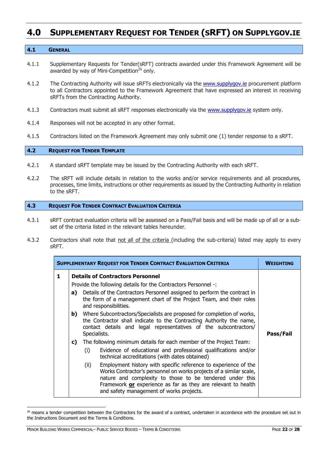# 4.0 SUPPLEMENTARY REQUEST FOR TENDER (SRFT) ON SUPPLYGOV.IE

#### 4.1 GENERAL

- 4.1.1 Supplementary Requests for Tender(sRFT) contracts awarded under this Framework Agreement will be awarded by way of Mini-Competition<sup>29</sup> only.
- 4.1.2 The Contracting Authority will issue sRFTs electronically via the www.supplygov.ie procurement platform to all Contractors appointed to the Framework Agreement that have expressed an interest in receiving sRFTs from the Contracting Authority.
- 4.1.3 Contractors must submit all sRFT responses electronically via the www.supplygov.ie system only.
- 4.1.4 Responses will not be accepted in any other format.
- 4.1.5 Contractors listed on the Framework Agreement may only submit one (1) tender response to a sRFT.

# 4.2 REQUEST FOR TENDER TEMPLATE

- 4.2.1 A standard sRFT template may be issued by the Contracting Authority with each sRFT.
- 4.2.2 The sRFT will include details in relation to the works and/or service requirements and all procedures, processes, time limits, instructions or other requirements as issued by the Contracting Authority in relation to the sRFT.

## 4.3 REQUEST FOR TENDER CONTRACT EVALUATION CRITERIA

- 4.3.1 sRFT contract evaluation criteria will be assessed on a Pass/Fail basis and will be made up of all or a subset of the criteria listed in the relevant tables hereunder.
- 4.3.2 Contractors shall note that not all of the criteria (including the sub-criteria) listed may apply to every sRFT.

| <b>SUPPLEMENTARY REQUEST FOR TENDER CONTRACT EVALUATION CRITERIA</b> |                                                                                  |                                                                                                                                                                          |                                                                                                                                                                                                                                                                                                                                                                                                                                                                                                          | <b>WFTGHTTNG</b> |  |
|----------------------------------------------------------------------|----------------------------------------------------------------------------------|--------------------------------------------------------------------------------------------------------------------------------------------------------------------------|----------------------------------------------------------------------------------------------------------------------------------------------------------------------------------------------------------------------------------------------------------------------------------------------------------------------------------------------------------------------------------------------------------------------------------------------------------------------------------------------------------|------------------|--|
| 1                                                                    | <b>Details of Contractors Personnel</b>                                          |                                                                                                                                                                          |                                                                                                                                                                                                                                                                                                                                                                                                                                                                                                          |                  |  |
|                                                                      |                                                                                  | Provide the following details for the Contractors Personnel -:                                                                                                           |                                                                                                                                                                                                                                                                                                                                                                                                                                                                                                          |                  |  |
|                                                                      | a)                                                                               | Details of the Contractors Personnel assigned to perform the contract in<br>the form of a management chart of the Project Team, and their roles<br>and responsibilities. |                                                                                                                                                                                                                                                                                                                                                                                                                                                                                                          |                  |  |
|                                                                      | <b>b)</b> Where Subcontractors/Specialists are proposed for completion of works, | Pass/Fail                                                                                                                                                                |                                                                                                                                                                                                                                                                                                                                                                                                                                                                                                          |                  |  |
|                                                                      | C)                                                                               | (i)<br>(ii)                                                                                                                                                              | The following minimum details for each member of the Project Team:<br>Evidence of educational and professional qualifications and/or<br>technical accreditations (with dates obtained)<br>Employment history with specific reference to experience of the<br>Works Contractor's personnel on works projects of a similar scale,<br>nature and complexity to those to be tendered under this<br>Framework or experience as far as they are relevant to health<br>and safety management of works projects. |                  |  |

<sup>&</sup>lt;sup>29</sup> means a tender competition between the Contractors for the award of a contract, undertaken in accordance with the procedure set out in the Instructions Document and the Terms & Conditions.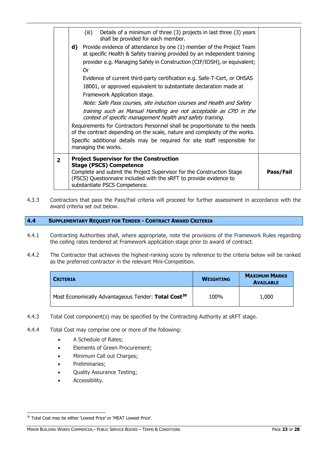|              | Details of a minimum of three (3) projects in last three (3) years<br>(iii)<br>shall be provided for each member.                                                            |           |
|--------------|------------------------------------------------------------------------------------------------------------------------------------------------------------------------------|-----------|
|              | d) Provide evidence of attendance by one (1) member of the Project Team<br>at specific Health & Safety training provided by an independent training                          |           |
|              | provider e.g. Managing Safely in Construction (CIF/IOSH), or equivalent;                                                                                                     |           |
|              | 0r                                                                                                                                                                           |           |
|              | Evidence of current third-party certification e.g. Safe-T-Cert, or OHSAS                                                                                                     |           |
|              | 18001, or approved equivalent to substantiate declaration made at                                                                                                            |           |
|              | Framework Application stage.                                                                                                                                                 |           |
|              | Note: Safe Pass courses, site induction courses and Health and Safety                                                                                                        |           |
|              | training such as Manual Handling are not acceptable as CPD in the<br>context of specific management health and safety training.                                              |           |
|              | Requirements for Contractors Personnel shall be proportionate to the needs<br>of the contract depending on the scale, nature and complexity of the works.                    |           |
|              | Specific additional details may be required for site staff responsible for<br>managing the works.                                                                            |           |
| $\mathbf{2}$ | <b>Project Supervisor for the Construction</b><br><b>Stage (PSCS) Competence</b>                                                                                             |           |
|              | Complete and submit the Project Supervisor for the Construction Stage<br>(PSCS) Questionnaire included with the sRFT to provide evidence to<br>substantiate PSCS Competence. | Pass/Fail |

4.3.3 Contractors that pass the Pass/Fail criteria will proceed for further assessment in accordance with the award criteria set out below.

# 4.4 SUPPLEMENTARY REQUEST FOR TENDER - CONTRACT AWARD CRITERIA

- 4.4.1 Contracting Authorities shall, where appropriate, note the provisions of the Framework Rules regarding the ceiling rates tendered at Framework application stage prior to award of contract.
- 4.4.2 The Contractor that achieves the highest-ranking score by reference to the criteria below will be ranked as the preferred contractor in the relevant Mini-Competition.

| <b>CRITERIA</b>                                                 | <b>WEIGHTING</b> | <b>MAXIMUM MARKS</b><br><b>AVAILABLE</b> |
|-----------------------------------------------------------------|------------------|------------------------------------------|
| Most Economically Advantageous Tender: Total Cost <sup>30</sup> | 100%             | 1,000                                    |

- 4.4.3 Total Cost component(s) may be specified by the Contracting Authority at sRFT stage.
- 4.4.4 Total Cost may comprise one or more of the following:
	- A Schedule of Rates;
	- Elements of Green Procurement;
	- Minimum Call out Charges:
	- Preliminaries;
	- Quality Assurance Testing;
	- Accessibility.

<sup>30</sup> Total Cost may be either 'Lowest Price' or 'MEAT Lowest Price'.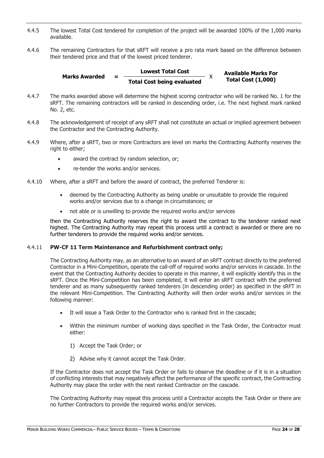- 4.4.5 The lowest Total Cost tendered for completion of the project will be awarded 100% of the 1,000 marks available.
- 4.4.6 The remaining Contractors for that sRFT will receive a pro rata mark based on the difference between their tendered price and that of the lowest priced tenderer.

Marks Awarded = Lowest Total Cost  $X$  Available Marks For<br>Total Cost (1,000) **Total Cost being evaluated** 

- 4.4.7 The marks awarded above will determine the highest scoring contractor who will be ranked No. 1 for the sRFT. The remaining contractors will be ranked in descending order, i.e. The next highest mark ranked No. 2, etc.
- 4.4.8 The acknowledgement of receipt of any sRFT shall not constitute an actual or implied agreement between the Contractor and the Contracting Authority.
- 4.4.9 Where, after a sRFT, two or more Contractors are level on marks the Contracting Authority reserves the right to either;
	- award the contract by random selection, or:
	- re-tender the works and/or services.
- 4.4.10 Where, after a sRFT and before the award of contract, the preferred Tenderer is:
	- deemed by the Contracting Authority as being unable or unsuitable to provide the required works and/or services due to a change in circumstances; or
	- not able or is unwilling to provide the required works and/or services

then the Contracting Authority reserves the right to award the contract to the tenderer ranked next highest. The Contracting Authority may repeat this process until a contract is awarded or there are no further tenderers to provide the required works and/or services.

# 4.4.11 PW-CF 11 Term Maintenance and Refurbishment contract only;

The Contracting Authority may, as an alternative to an award of an sRFT contract directly to the preferred Contractor in a Mini-Competition, operate the call-off of required works and/or services in cascade. In the event that the Contracting Authority decides to operate in this manner, it will explicitly identify this in the sRFT. Once the Mini-Competition has been completed, it will enter an sRFT contract with the preferred tenderer and as many subsequently ranked tenderers (in descending order) as specified in the sRFT in the relevant Mini-Competition. The Contracting Authority will then order works and/or services in the following manner:

- It will issue a Task Order to the Contractor who is ranked first in the cascade;
- Within the minimum number of working days specified in the Task Order, the Contractor must either:
	- 1) Accept the Task Order; or
	- 2) Advise why it cannot accept the Task Order.

 If the Contractor does not accept the Task Order or fails to observe the deadline or if it is in a situation of conflicting interests that may negatively affect the performance of the specific contract, the Contracting Authority may place the order with the next ranked Contractor on the cascade.

The Contracting Authority may repeat this process until a Contractor accepts the Task Order or there are no further Contractors to provide the required works and/or services.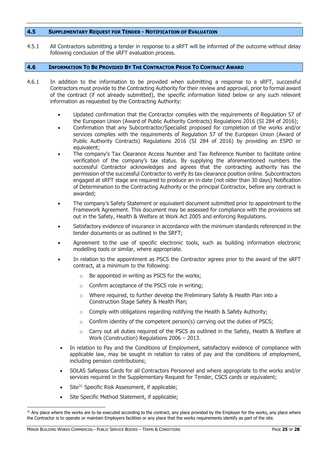## 4.5 SUPPLEMENTARY REQUEST FOR TENDER - NOTIFICATION OF EVALUATION

4.5.1 All Contractors submitting a tender in response to a sRFT will be informed of the outcome without delay following conclusion of the sRFT evaluation process.

## 4.6 INFORMATION TO BE PROVIDED BY THE CONTRACTOR PRIOR TO CONTRACT AWARD

- 4.6.1 In addition to the information to be provided when submitting a response to a sRFT, successful Contractors must provide to the Contracting Authority for their review and approval, prior to formal award of the contract (if not already submitted), the specific information listed below or any such relevant information as requested by the Contracting Authority:
	- Updated confirmation that the Contractor complies with the requirements of Regulation 57 of the European Union (Award of Public Authority Contracts) Regulations 2016 (SI 284 of 2016);
	- Confirmation that any Subcontractor/Specialist proposed for completion of the works and/or services complies with the requirements of Regulation 57 of the European Union (Award of Public Authority Contracts) Regulations 2016 (SI 284 of 2016) by providing an ESPD or equivalent;
	- The company's Tax Clearance Access Number and Tax Reference Number to facilitate online verification of the company's tax status. By supplying the aforementioned numbers the successful Contractor acknowledges and agrees that the contracting authority has the permission of the successful Contractor to verify its tax clearance position online. Subcontractors engaged at sRFT stage are required to produce an in-date (not older than 30 days) Notification of Determination to the Contracting Authority or the principal Contractor, before any contract is awarded;
	- The company's Safety Statement or equivalent document submitted prior to appointment to the Framework Agreement. This document may be assessed for compliance with the provisions set out in the Safety, Health & Welfare at Work Act 2005 and enforcing Regulations.
	- Satisfactory evidence of insurance in accordance with the minimum standards referenced in the tender documents or as outlined in the SRFT;
	- Agreement to the use of specific electronic tools, such as building information electronic modelling tools or similar, where appropriate.
	- In relation to the appointment as PSCS the Contractor agrees prior to the award of the sRFT contract, at a minimum to the following:
		- o Be appointed in writing as PSCS for the works;
		- o Confirm acceptance of the PSCS role in writing;
		- o Where required, to further develop the Preliminary Safety & Health Plan into a Construction Stage Safety & Health Plan;
		- $\circ$  Comply with obligations regarding notifying the Health & Safety Authority;
		- $\circ$  Confirm identity of the competent person(s) carrying out the duties of PSCS;
		- $\circ$  Carry out all duties required of the PSCS as outlined in the Safety, Health & Welfare at Work (Construction) Regulations 2006 – 2013.
	- In relation to Pay and the Conditions of Employment, satisfactory evidence of compliance with applicable law, may be sought in relation to rates of pay and the conditions of employment, including pension contributions;
	- SOLAS Safepass Cards for all Contractors Personnel and where appropriate to the works and/or services required in the Supplementary Request for Tender, CSCS cards or equivalent;
	- Site<sup>31</sup> Specific Risk Assessment, if applicable;
	- Site Specific Method Statement, if applicable;

<sup>&</sup>lt;sup>31</sup> Any place where the works are to be executed according to the contract, any place provided by the Employer for the works, any place where the Contractor is to operate or maintain Employers facilities or any place that the works requirements identify as part of the site.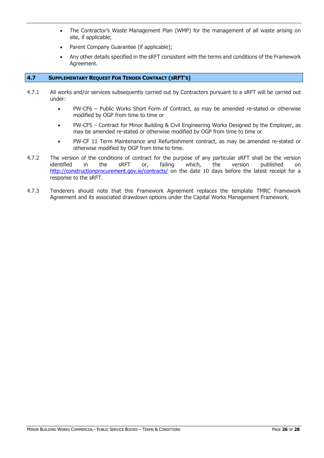- The Contractor's Waste Management Plan (WMP) for the management of all waste arising on site, if applicable;
- Parent Company Guarantee (if applicable);
- Any other details specified in the sRFT consistent with the terms and conditions of the Framework Agreement.

# 4.7 SUPPLEMENTARY REQUEST FOR TENDER CONTRACT (SRFT'S)

- 4.7.1 All works and/or services subsequently carried out by Contractors pursuant to a sRFT will be carried out under:
	- PW-CF6 Public Works Short Form of Contract, as may be amended re-stated or otherwise modified by OGP from time to time or
	- PW-CF5 Contract for Minor Building & Civil Engineering Works Designed by the Employer, as may be amended re-stated or otherwise modified by OGP from time to time or
	- PW-CF 11 Term Maintenance and Refurbishment contract, as may be amended re-stated or otherwise modified by OGP from time to time.
- 4.7.2 The version of the conditions of contract for the purpose of any particular sRFT shall be the version identified in the sRFT or, failing which, the version published on http://constructionprocurement.gov.je/contracts/ on the date 10 days before the latest receipt for a response to the sRFT.
- 4.7.3 Tenderers should note that this Framework Agreement replaces the template TMRC Framework Agreement and its associated drawdown options under the Capital Works Management Framework.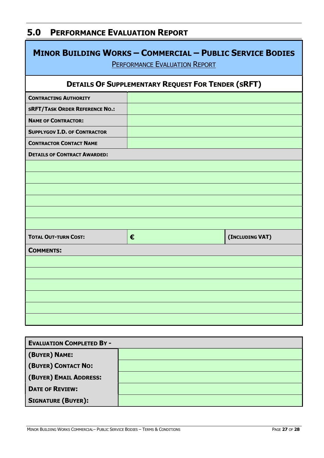# 5.0 PERFORMANCE EVALUATION REPORT

| <b>MINOR BUILDING WORKS - COMMERCIAL - PUBLIC SERVICE BODIES</b><br>PERFORMANCE EVALUATION REPORT |                                                           |                 |  |  |
|---------------------------------------------------------------------------------------------------|-----------------------------------------------------------|-----------------|--|--|
|                                                                                                   | <b>DETAILS OF SUPPLEMENTARY REQUEST FOR TENDER (SRFT)</b> |                 |  |  |
| <b>CONTRACTING AUTHORITY</b>                                                                      |                                                           |                 |  |  |
| <b>SRFT/TASK ORDER REFERENCE NO.:</b>                                                             |                                                           |                 |  |  |
| <b>NAME OF CONTRACTOR:</b>                                                                        |                                                           |                 |  |  |
| <b>SUPPLYGOV I.D. OF CONTRACTOR</b>                                                               |                                                           |                 |  |  |
| <b>CONTRACTOR CONTACT NAME</b>                                                                    |                                                           |                 |  |  |
| <b>DETAILS OF CONTRACT AWARDED:</b>                                                               |                                                           |                 |  |  |
|                                                                                                   |                                                           |                 |  |  |
|                                                                                                   |                                                           |                 |  |  |
|                                                                                                   |                                                           |                 |  |  |
|                                                                                                   |                                                           |                 |  |  |
|                                                                                                   |                                                           |                 |  |  |
|                                                                                                   |                                                           |                 |  |  |
| <b>TOTAL OUT-TURN COST:</b>                                                                       | €                                                         | (INCLUDING VAT) |  |  |
| <b>COMMENTS:</b>                                                                                  |                                                           |                 |  |  |
|                                                                                                   |                                                           |                 |  |  |
|                                                                                                   |                                                           |                 |  |  |
|                                                                                                   |                                                           |                 |  |  |
|                                                                                                   |                                                           |                 |  |  |
|                                                                                                   |                                                           |                 |  |  |
|                                                                                                   |                                                           |                 |  |  |

| <b>EVALUATION COMPLETED BY -</b> |  |  |  |
|----------------------------------|--|--|--|
| (BUYER) NAME:                    |  |  |  |
| <b>(BUYER) CONTACT NO:</b>       |  |  |  |
| (BUYER) EMAIL ADDRESS:           |  |  |  |
| <b>DATE OF REVIEW:</b>           |  |  |  |
| <b>SIGNATURE (BUYER):</b>        |  |  |  |